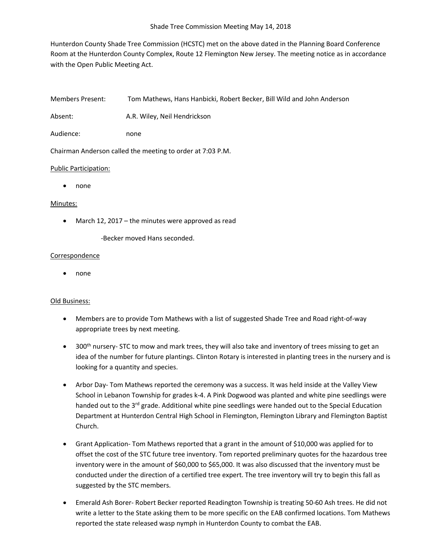Hunterdon County Shade Tree Commission (HCSTC) met on the above dated in the Planning Board Conference Room at the Hunterdon County Complex, Route 12 Flemington New Jersey. The meeting notice as in accordance with the Open Public Meeting Act.

Members Present: Tom Mathews, Hans Hanbicki, Robert Becker, Bill Wild and John Anderson

Absent: A.R. Wiley, Neil Hendrickson

Audience: none

Chairman Anderson called the meeting to order at 7:03 P.M.

### Public Participation:

• none

## Minutes:

- March 12, 2017 the minutes were approved as read
	- -Becker moved Hans seconded.

### Correspondence

• none

# Old Business:

- Members are to provide Tom Mathews with a list of suggested Shade Tree and Road right-of-way appropriate trees by next meeting.
- $\bullet$  300<sup>th</sup> nursery- STC to mow and mark trees, they will also take and inventory of trees missing to get an idea of the number for future plantings. Clinton Rotary is interested in planting trees in the nursery and is looking for a quantity and species.
- Arbor Day- Tom Mathews reported the ceremony was a success. It was held inside at the Valley View School in Lebanon Township for grades k-4. A Pink Dogwood was planted and white pine seedlings were handed out to the 3<sup>rd</sup> grade. Additional white pine seedlings were handed out to the Special Education Department at Hunterdon Central High School in Flemington, Flemington Library and Flemington Baptist Church.
- Grant Application- Tom Mathews reported that a grant in the amount of \$10,000 was applied for to offset the cost of the STC future tree inventory. Tom reported preliminary quotes for the hazardous tree inventory were in the amount of \$60,000 to \$65,000. It was also discussed that the inventory must be conducted under the direction of a certified tree expert. The tree inventory will try to begin this fall as suggested by the STC members.
- Emerald Ash Borer- Robert Becker reported Readington Township is treating 50-60 Ash trees. He did not write a letter to the State asking them to be more specific on the EAB confirmed locations. Tom Mathews reported the state released wasp nymph in Hunterdon County to combat the EAB.